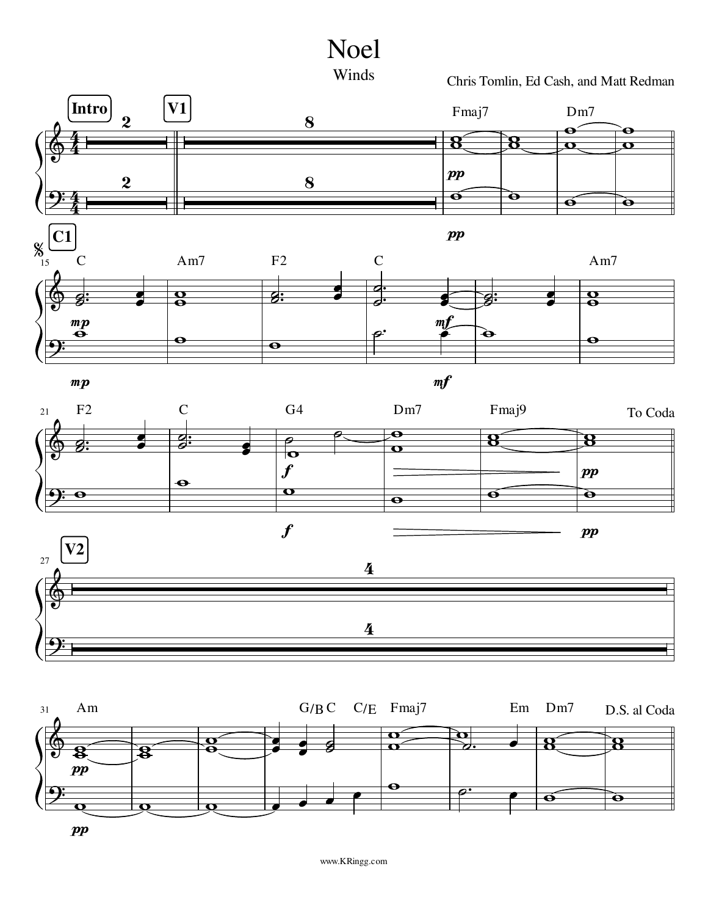



Chris Tomlin, Ed Cash, and Matt Redman



 $\boldsymbol{pp}$